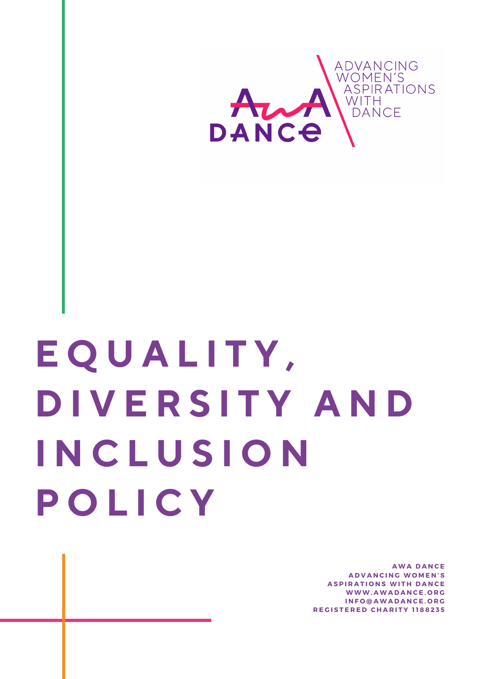

## **E Q U A L I T Y , D I V E R S I T Y A N D I N C L U S I O N P O L I C Y**

**A W A D A N C E A D V A N C I N G W O M E N ' S ASPIRATIONS WITH DANCE W W W .A W A D A N C E . O R G I N F O @ A W A D A N C E . O R G R E G I S T E R E D C H A R I T Y 1 1 8 8 2 3 5**